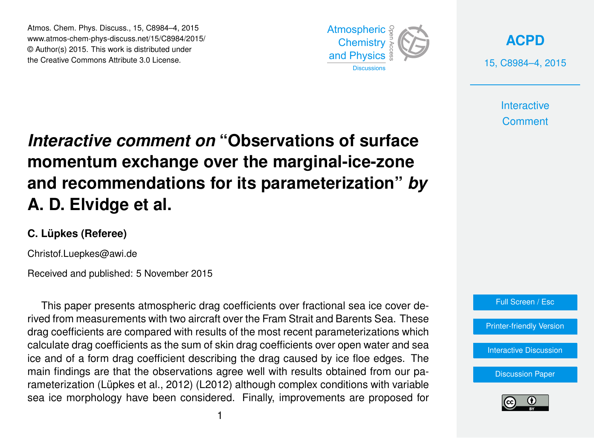Atmos. Chem. Phys. Discuss., 15, C8984–4, 2015 www.atmos-chem-phys-discuss.net/15/C8984/2015/ © Author(s) 2015. This work is distributed under the Creative Commons Attribute 3.0 License.



**[ACPD](http://www.atmos-chem-phys-discuss.net)** 15, C8984–4, 2015

> **Interactive Comment**

## *Interactive comment on* **"Observations of surface momentum exchange over the marginal-ice-zone and recommendations for its parameterization"** *by* **A. D. Elvidge et al.**

### **C. Lüpkes (Referee)**

Christof.Luepkes@awi.de

Received and published: 5 November 2015

This paper presents atmospheric drag coefficients over fractional sea ice cover derived from measurements with two aircraft over the Fram Strait and Barents Sea. These drag coefficients are compared with results of the most recent parameterizations which calculate drag coefficients as the sum of skin drag coefficients over open water and sea ice and of a form drag coefficient describing the drag caused by ice floe edges. The main findings are that the observations agree well with results obtained from our parameterization (Lüpkes et al., 2012) (L2012) although complex conditions with variable sea ice morphology have been considered. Finally, improvements are proposed for



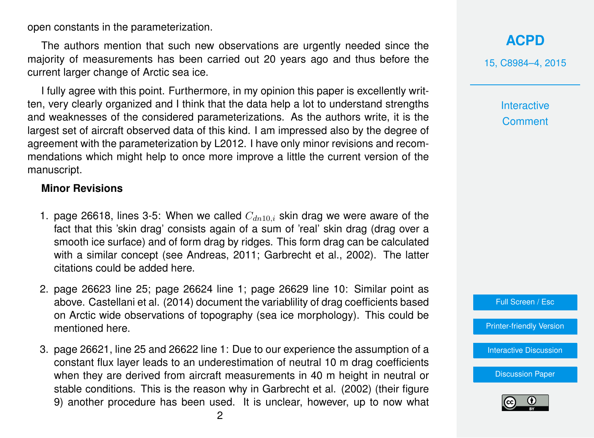open constants in the parameterization.

The authors mention that such new observations are urgently needed since the majority of measurements has been carried out 20 years ago and thus before the current larger change of Arctic sea ice.

I fully agree with this point. Furthermore, in my opinion this paper is excellently written, very clearly organized and I think that the data help a lot to understand strengths and weaknesses of the considered parameterizations. As the authors write, it is the largest set of aircraft observed data of this kind. I am impressed also by the degree of agreement with the parameterization by L2012. I have only minor revisions and recommendations which might help to once more improve a little the current version of the manuscript.

### **Minor Revisions**

- 1. page 26618, lines 3-5: When we called  $C_{dn10,i}$  skin drag we were aware of the fact that this 'skin drag' consists again of a sum of 'real' skin drag (drag over a smooth ice surface) and of form drag by ridges. This form drag can be calculated with a similar concept (see Andreas, 2011; Garbrecht et al., 2002). The latter citations could be added here.
- 2. page 26623 line 25; page 26624 line 1; page 26629 line 10: Similar point as above. Castellani et al. (2014) document the variablility of drag coefficients based on Arctic wide observations of topography (sea ice morphology). This could be mentioned here.
- 3. page 26621, line 25 and 26622 line 1: Due to our experience the assumption of a constant flux layer leads to an underestimation of neutral 10 m drag coefficients when they are derived from aircraft measurements in 40 m height in neutral or stable conditions. This is the reason why in Garbrecht et al. (2002) (their figure 9) another procedure has been used. It is unclear, however, up to now what

**[ACPD](http://www.atmos-chem-phys-discuss.net)** 15, C8984–4, 2015

> Interactive **Comment**



[Discussion Paper](http://www.atmos-chem-phys-discuss.net/15/26609/2015/acpd-15-26609-2015.pdf)

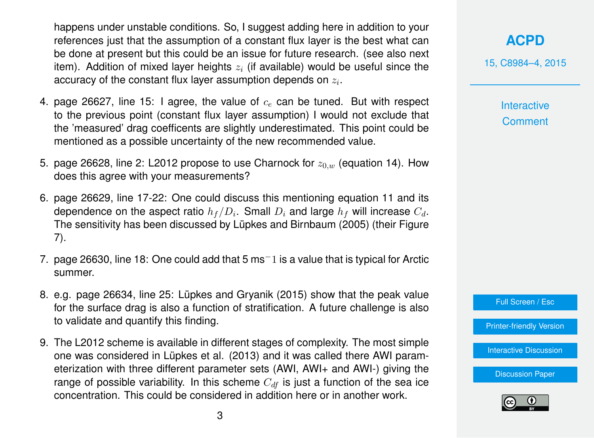happens under unstable conditions. So, I suggest adding here in addition to your references just that the assumption of a constant flux layer is the best what can be done at present but this could be an issue for future research. (see also next item). Addition of mixed layer heights  $z_i$  (if available) would be useful since the accuracy of the constant flux layer assumption depends on  $z_i.$ 

- 4. page 26627, line 15: I agree, the value of  $c<sub>e</sub>$  can be tuned. But with respect to the previous point (constant flux layer assumption) I would not exclude that the 'measured' drag coefficents are slightly underestimated. This point could be mentioned as a possible uncertainty of the new recommended value.
- 5. page 26628, line 2: L2012 propose to use Charnock for  $z_{0,w}$  (equation 14). How does this agree with your measurements?
- 6. page 26629, line 17-22: One could discuss this mentioning equation 11 and its dependence on the aspect ratio  $h_f/D_i.$  Small  $D_i$  and large  $h_f$  will increase  $C_d.$ The sensitivity has been discussed by Lüpkes and Birnbaum (2005) (their Figure 7).
- 7. page 26630, line 18: One could add that 5 ms−1 is a value that is typical for Arctic summer.
- 8. e.g. page 26634, line 25: Lüpkes and Gryanik (2015) show that the peak value for the surface drag is also a function of stratification. A future challenge is also to validate and quantify this finding.
- 9. The L2012 scheme is available in different stages of complexity. The most simple one was considered in Lüpkes et al. (2013) and it was called there AWI parameterization with three different parameter sets (AWI, AWI+ and AWI-) giving the range of possible variability. In this scheme  $C_{df}$  is just a function of the sea ice concentration. This could be considered in addition here or in another work.

**[ACPD](http://www.atmos-chem-phys-discuss.net)** 15, C8984–4, 2015

> Interactive **Comment**



[Printer-friendly Version](http://www.atmos-chem-phys-discuss.net/15/C8984/2015/acpd-15-C8984-2015-print.pdf)

[Interactive Discussion](http://www.atmos-chem-phys-discuss.net/15/26609/2015/acpd-15-26609-2015-discussion.html)

[Discussion Paper](http://www.atmos-chem-phys-discuss.net/15/26609/2015/acpd-15-26609-2015.pdf)